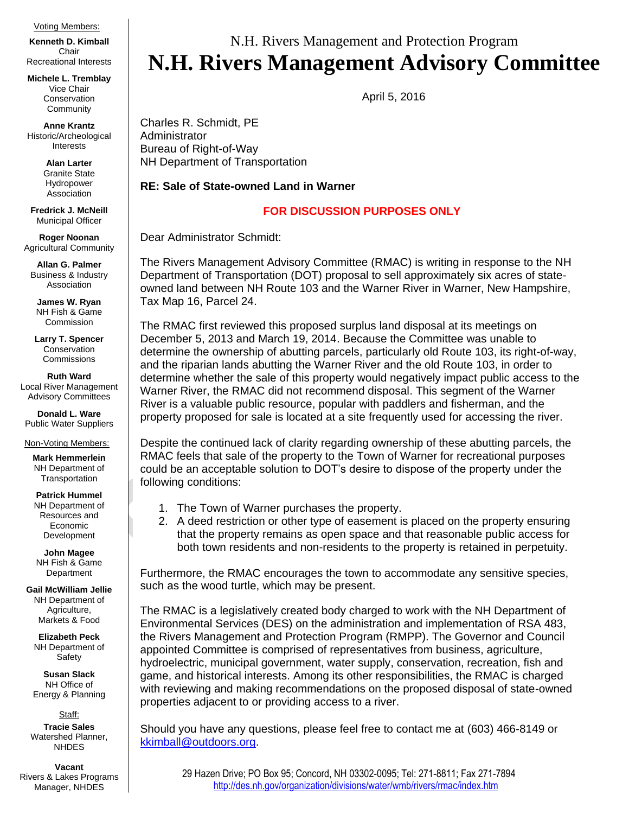## Voting Members:

**Kenneth D. Kimball**  Chair Recreational Interests

**Michele L. Tremblay**  Vice Chair **Conservation Community** 

**Anne Krantz** Historic/Archeological Interests

> **Alan Larter** Granite State Hydropower Association

**Fredrick J. McNeill** Municipal Officer

**Roger Noonan**  Agricultural Community

**Allan G. Palmer** Business & Industry Association

**James W. Ryan** NH Fish & Game Commission

**Larry T. Spencer** Conservation **Commissions** 

**Ruth Ward** Local River Management Advisory Committees

**Donald L. Ware** Public Water Suppliers

Non-Voting Members:

**Mark Hemmerlein** NH Department of **Transportation** 

**Patrick Hummel** NH Department of Resources and Economic Development

**John Magee** NH Fish & Game Department

**Gail McWilliam Jellie** NH Department of Agriculture, Markets & Food

**Elizabeth Peck** NH Department of Safety

**Susan Slack** NH Office of Energy & Planning

Staff: **Tracie Sales** Watershed Planner, **NHDES** 

**Vacant** Rivers & Lakes Programs Manager, NHDES

## N.H. Rivers Management and Protection Program **N.H. Rivers Management Advisory Committee**

April 5, 2016

Charles R. Schmidt, PE Administrator Bureau of Right-of-Way NH Department of Transportation

**RE: Sale of State-owned Land in Warner** 

## **FOR DISCUSSION PURPOSES ONLY**

Dear Administrator Schmidt:

The Rivers Management Advisory Committee (RMAC) is writing in response to the NH Department of Transportation (DOT) proposal to sell approximately six acres of stateowned land between NH Route 103 and the Warner River in Warner, New Hampshire, Tax Map 16, Parcel 24.

The RMAC first reviewed this proposed surplus land disposal at its meetings on December 5, 2013 and March 19, 2014. Because the Committee was unable to determine the ownership of abutting parcels, particularly old Route 103, its right-of-way, and the riparian lands abutting the Warner River and the old Route 103, in order to determine whether the sale of this property would negatively impact public access to the Warner River, the RMAC did not recommend disposal. This segment of the Warner River is a valuable public resource, popular with paddlers and fisherman, and the property proposed for sale is located at a site frequently used for accessing the river.

Despite the continued lack of clarity regarding ownership of these abutting parcels, the RMAC feels that sale of the property to the Town of Warner for recreational purposes could be an acceptable solution to DOT's desire to dispose of the property under the following conditions:

- 1. The Town of Warner purchases the property.
- 2. A deed restriction or other type of easement is placed on the property ensuring that the property remains as open space and that reasonable public access for both town residents and non-residents to the property is retained in perpetuity.

Furthermore, the RMAC encourages the town to accommodate any sensitive species, such as the wood turtle, which may be present.

The RMAC is a legislatively created body charged to work with the NH Department of Environmental Services (DES) on the administration and implementation of RSA 483, the Rivers Management and Protection Program (RMPP). The Governor and Council appointed Committee is comprised of representatives from business, agriculture, hydroelectric, municipal government, water supply, conservation, recreation, fish and game, and historical interests. Among its other responsibilities, the RMAC is charged with reviewing and making recommendations on the proposed disposal of state-owned properties adjacent to or providing access to a river.

Should you have any questions, please feel free to contact me at (603) 466-8149 or [kkimball@outdoors.org.](mailto:kkimball@outdoors.org)

29 Hazen Drive; PO Box 95; Concord, NH 03302-0095; Tel: 271-8811; Fax 271-7894 <http://des.nh.gov/organization/divisions/water/wmb/rivers/rmac/index.htm>